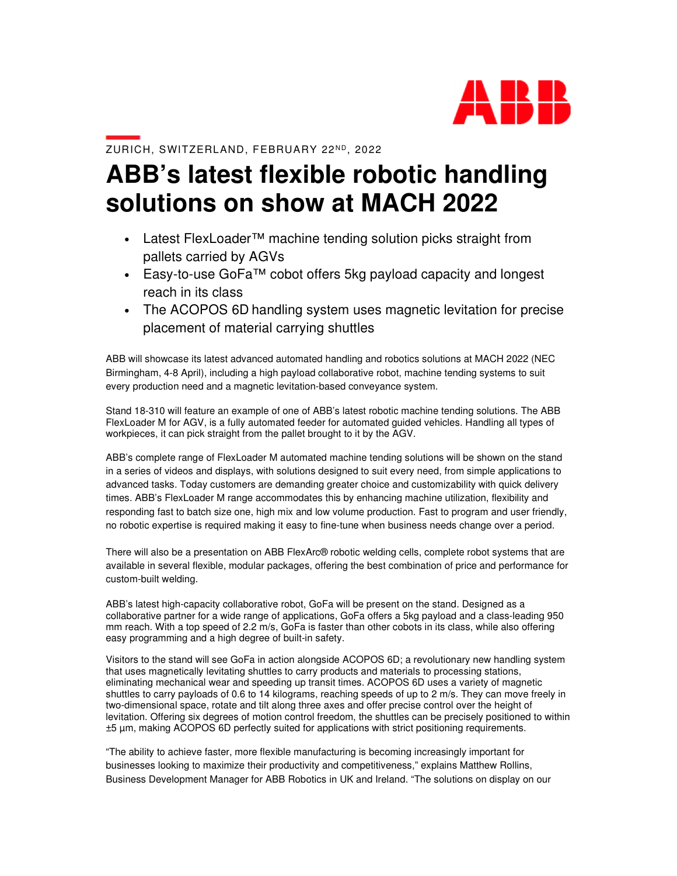

## ZURICH, SWITZERLAND, FEBRUARY 22ND, 2022

## **ABB's latest flexible robotic handling solutions on show at MACH 2022**

- Latest FlexLoader™ machine tending solution picks straight from pallets carried by AGVs
- Easy-to-use GoFa™ cobot offers 5kg payload capacity and longest reach in its class
- The ACOPOS 6D handling system uses magnetic levitation for precise placement of material carrying shuttles

ABB will showcase its latest advanced automated handling and robotics solutions at MACH 2022 (NEC Birmingham, 4-8 April), including a high payload collaborative robot, machine tending systems to suit every production need and a magnetic levitation-based conveyance system.

Stand 18-310 will feature an example of one of ABB's latest robotic machine tending solutions. The ABB FlexLoader M for AGV, is a fully automated feeder for automated guided vehicles. Handling all types of workpieces, it can pick straight from the pallet brought to it by the AGV.

ABB's complete range of FlexLoader M automated machine tending solutions will be shown on the stand in a series of videos and displays, with solutions designed to suit every need, from simple applications to advanced tasks. Today customers are demanding greater choice and customizability with quick delivery times. ABB's FlexLoader M range accommodates this by enhancing machine utilization, flexibility and responding fast to batch size one, high mix and low volume production. Fast to program and user friendly, no robotic expertise is required making it easy to fine-tune when business needs change over a period.

There will also be a presentation on ABB FlexArc® robotic welding cells, complete robot systems that are available in several flexible, modular packages, offering the best combination of price and performance for custom-built welding.

ABB's latest high-capacity collaborative robot, GoFa will be present on the stand. Designed as a collaborative partner for a wide range of applications, GoFa offers a 5kg payload and a class-leading 950 mm reach. With a top speed of 2.2 m/s, GoFa is faster than other cobots in its class, while also offering easy programming and a high degree of built-in safety.

Visitors to the stand will see GoFa in action alongside ACOPOS 6D; a revolutionary new handling system that uses magnetically levitating shuttles to carry products and materials to processing stations, eliminating mechanical wear and speeding up transit times. ACOPOS 6D uses a variety of magnetic shuttles to carry payloads of 0.6 to 14 kilograms, reaching speeds of up to 2 m/s. They can move freely in two-dimensional space, rotate and tilt along three axes and offer precise control over the height of levitation. Offering six degrees of motion control freedom, the shuttles can be precisely positioned to within ±5 µm, making ACOPOS 6D perfectly suited for applications with strict positioning requirements.

"The ability to achieve faster, more flexible manufacturing is becoming increasingly important for businesses looking to maximize their productivity and competitiveness," explains Matthew Rollins, Business Development Manager for ABB Robotics in UK and Ireland. "The solutions on display on our